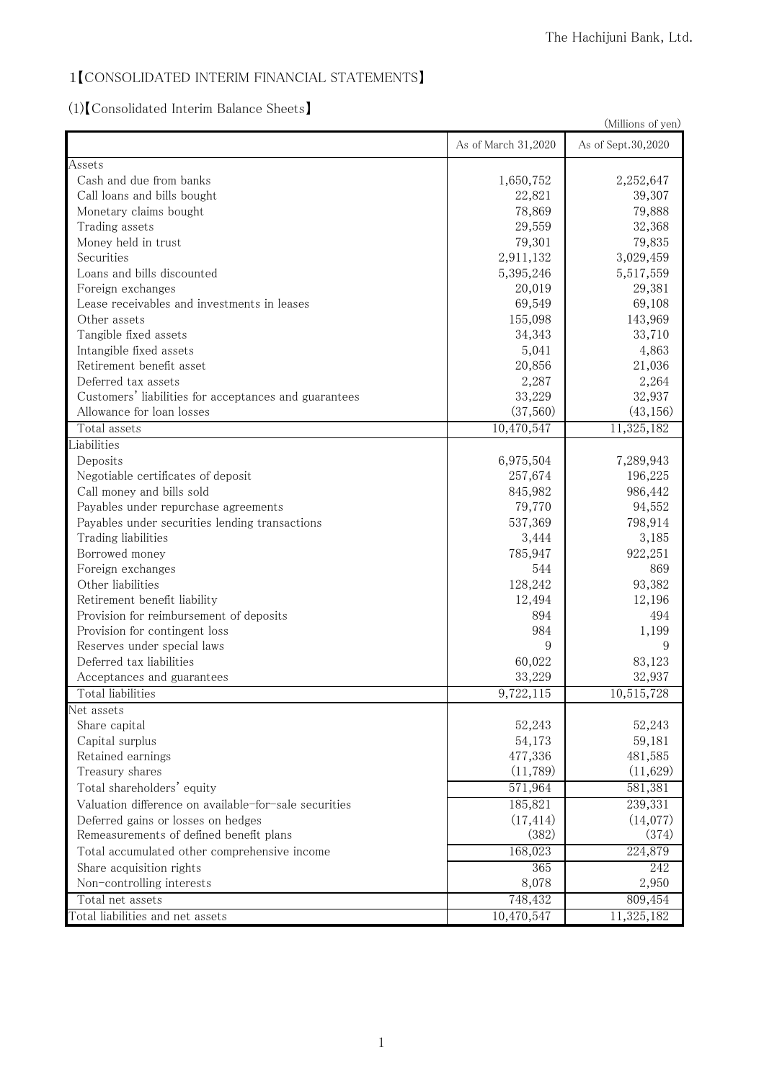## 1【CONSOLIDATED INTERIM FINANCIAL STATEMENTS】

(1)【Consolidated Interim Balance Sheets】

|                                                       | (Millions of yen)   |                    |  |
|-------------------------------------------------------|---------------------|--------------------|--|
|                                                       | As of March 31,2020 | As of Sept.30,2020 |  |
| Assets                                                |                     |                    |  |
| Cash and due from banks                               | 1,650,752           | 2,252,647          |  |
| Call loans and bills bought                           | 22,821              | 39,307             |  |
| Monetary claims bought                                | 78,869              | 79,888             |  |
| Trading assets                                        | 29,559              | 32,368             |  |
| Money held in trust                                   | 79,301              | 79,835             |  |
| Securities                                            | 2,911,132           | 3,029,459          |  |
| Loans and bills discounted                            | 5,395,246           | 5,517,559          |  |
| Foreign exchanges                                     | 20,019              | 29,381             |  |
| Lease receivables and investments in leases           | 69,549              | 69,108             |  |
| Other assets                                          | 155,098             | 143,969            |  |
| Tangible fixed assets                                 | 34,343              | 33,710             |  |
| Intangible fixed assets                               | 5,041               | 4,863              |  |
| Retirement benefit asset                              | 20,856              | 21,036             |  |
| Deferred tax assets                                   | 2,287               | 2,264              |  |
| Customers' liabilities for acceptances and guarantees | 33,229              | 32,937             |  |
| Allowance for loan losses                             | (37,560)            | (43, 156)          |  |
| Total assets                                          | 10,470,547          | 11,325,182         |  |
| Liabilities                                           |                     |                    |  |
| Deposits                                              | 6,975,504           | 7,289,943          |  |
| Negotiable certificates of deposit                    | 257,674             | 196,225            |  |
| Call money and bills sold                             | 845,982             | 986,442            |  |
| Payables under repurchase agreements                  | 79,770              | 94,552             |  |
| Payables under securities lending transactions        | 537,369             | 798,914            |  |
| Trading liabilities                                   | 3,444               | 3,185              |  |
| Borrowed money                                        | 785,947             | 922,251            |  |
| Foreign exchanges                                     | 544                 | 869                |  |
| Other liabilities                                     | 128,242             | 93,382             |  |
| Retirement benefit liability                          | 12,494              | 12,196             |  |
| Provision for reimbursement of deposits               | 894                 | 494                |  |
| Provision for contingent loss                         | 984                 | 1,199              |  |
| Reserves under special laws                           | 9                   | 9                  |  |
| Deferred tax liabilities                              | 60,022              | 83,123             |  |
| Acceptances and guarantees                            | 33,229              | 32,937             |  |
| Total liabilities                                     | 9,722,115           | 10,515,728         |  |
| Net assets                                            |                     |                    |  |
| Share capital                                         | 52,243              | 52,243             |  |
| Capital surplus                                       | 54,173              | 59,181             |  |
| Retained earnings                                     | 477,336             | 481,585            |  |
| Treasury shares                                       | (11,789)            | (11,629)           |  |
| Total shareholders' equity                            | 571,964             | 581,381            |  |
| Valuation difference on available-for-sale securities | 185,821             | 239,331            |  |
| Deferred gains or losses on hedges                    | (17, 414)           | (14,077)           |  |
| Remeasurements of defined benefit plans               | (382)               | (374)              |  |
| Total accumulated other comprehensive income          | 168,023             | 224,879            |  |
| Share acquisition rights                              | 365                 | 242                |  |
| Non-controlling interests                             | 8,078               | 2,950              |  |
| Total net assets                                      | 748,432             | 809,454            |  |
|                                                       |                     |                    |  |
| Total liabilities and net assets                      | 10,470,547          | 11,325,182         |  |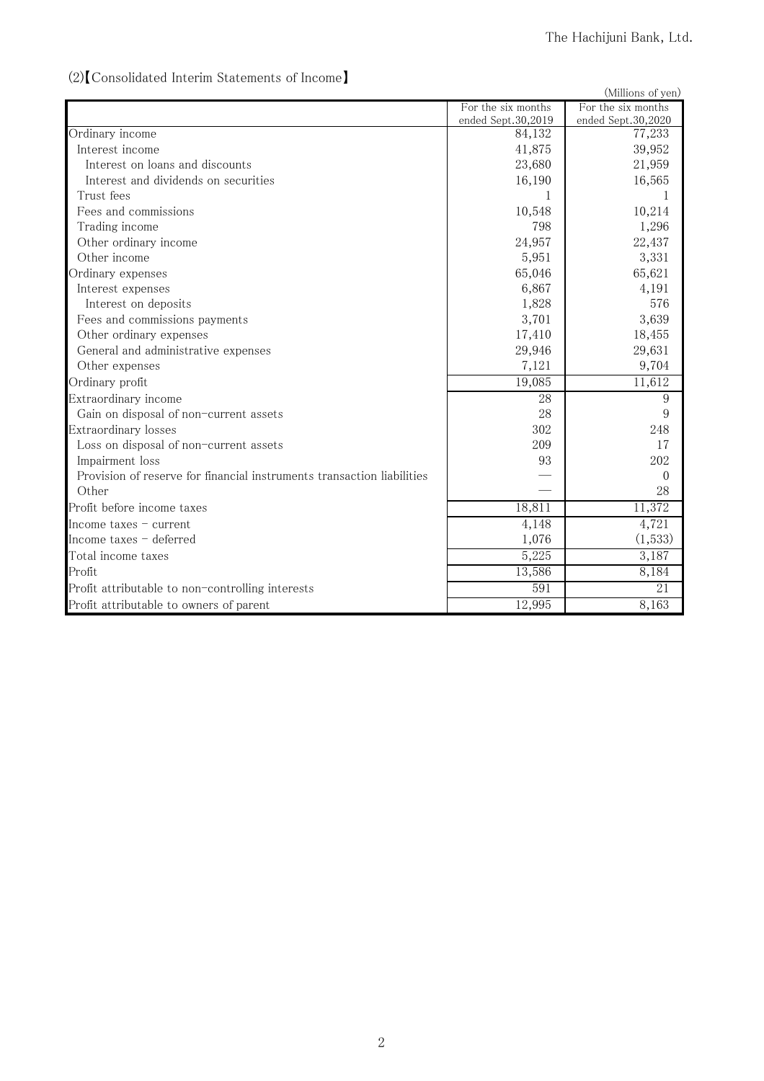#### (Millions of yen) For the six months ended Sept.30,2019 For the six months ended Sept.30,2020 Ordinary income 84,132 77,233 Interest income 39,952 Interest on loans and discounts 23,680 21,959 Interest and dividends on securities 16,190 16,190 16,565 Trust fees  $1 \t 1$ Fees and commissions 10,214 10,548 10,214 Trading income 1,296 Other ordinary income 24,957 22,437 Other income 3,331 3,331 Ordinary expenses 65,021 65,621 Interest expenses 6,867 and 4,191 Interest on deposits 576 Fees and commissions payments 3,701 3,639 Other ordinary expenses 17,410 18,455 General and administrative expenses 29,946 29,946 29,631 Other expenses 2,121 9,704 Ordinary profit  $19,085$  11,612 Extraordinary income 28 9 Gain on disposal of non-current assets 28 9 Extraordinary losses 302 248 Loss on disposal of non-current assets 209 17 Impairment loss and the set of the set of the set of the set of the set of the set of the set of the set of the set of the set of the set of the set of the set of the set of the set of the set of the set of the set of the Provision of reserve for financial instruments transaction liabilities  $\qquad \qquad$   $\qquad \qquad$  0 Other  $-$  28 Profit before income taxes 18,811 11,372 Income taxes – current  $4,148$   $4,721$ Income taxes  $-$  deferred  $1,076$  (1,533) Total income taxes  $5,225$   $3,187$ Profit  $\begin{array}{|c|c|c|c|c|c|c|c|c|} \hline \text{quad} & \text{quad} & \text{8,184} \ \hline \end{array}$ Profit attributable to non-controlling interests 591 31 Profit attributable to owners of parent 12,995 and 12,995 and 12,995 and 12,995 and 12,995 and 12,995 and 12,995  $\sim$  12,995 and 12,995 and 12,995 and 12,995 and 12,995 and 12,995 and 12,995 and 12,995 and 12,995 and 12,99

#### (2)【Consolidated Interim Statements of Income】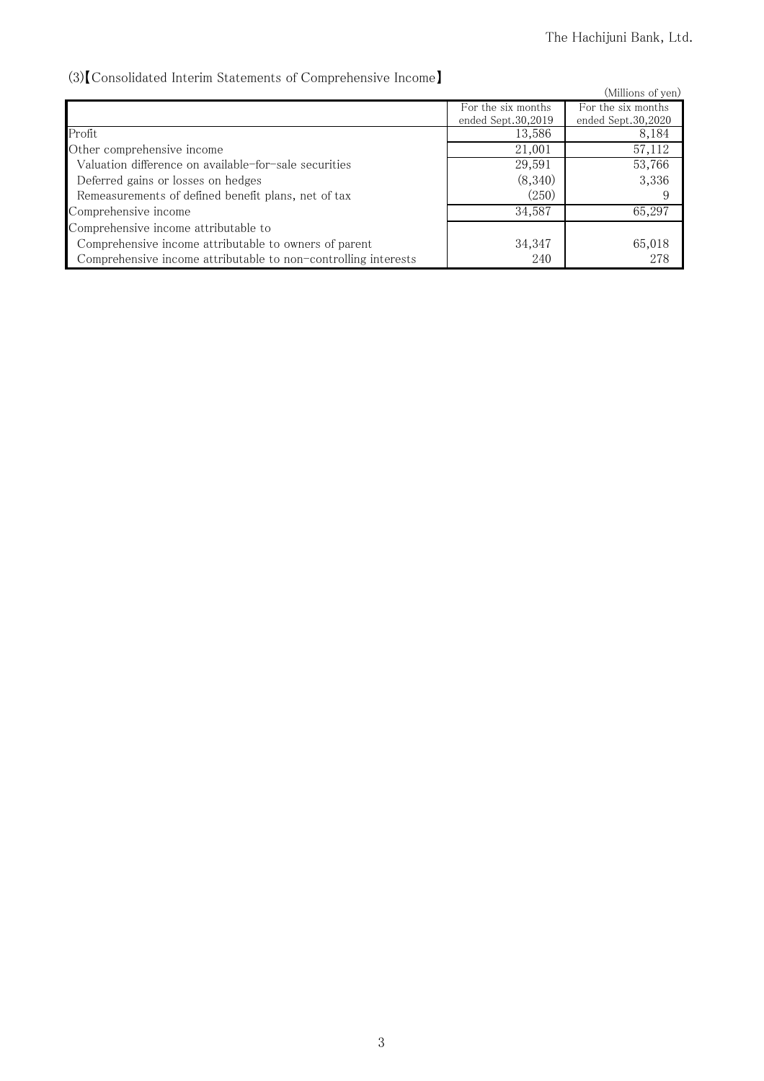## (3)【Consolidated Interim Statements of Comprehensive Income】

| vo/reconsolidated internit platements of comprendition to income r |                    |                    |
|--------------------------------------------------------------------|--------------------|--------------------|
|                                                                    |                    | (Millions of yen)  |
|                                                                    | For the six months | For the six months |
|                                                                    | ended Sept.30.2019 | ended Sept.30,2020 |
| Profit                                                             | 13,586             | 8,184              |
| Other comprehensive income                                         | 21,001             | 57,112             |
| Valuation difference on available-for-sale securities              | 29,591             | 53,766             |
| Deferred gains or losses on hedges                                 | (8,340)            | 3,336              |
| Remeasurements of defined benefit plans, net of tax                | (250)              |                    |
| Comprehensive income                                               | 34,587             | 65,297             |
| Comprehensive income attributable to                               |                    |                    |
| Comprehensive income attributable to owners of parent              | 34,347             | 65,018             |
| Comprehensive income attributable to non-controlling interests     | 240                | 278                |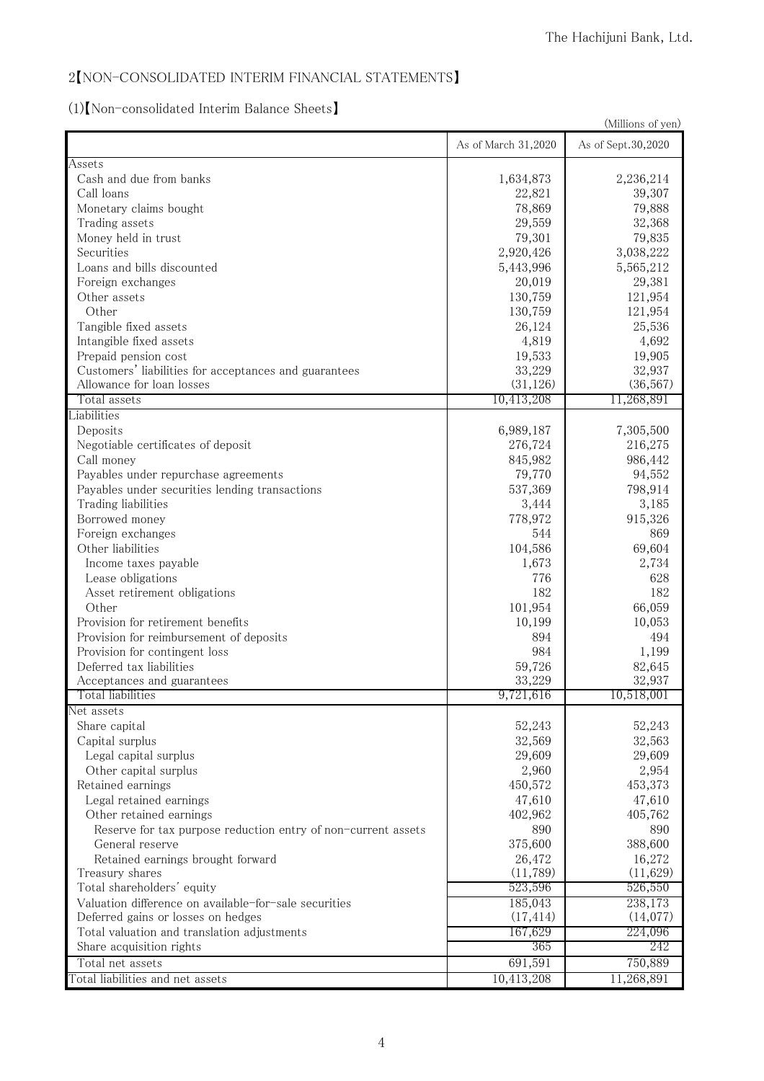#### 2【NON-CONSOLIDATED INTERIM FINANCIAL STATEMENTS】

# (1)【Non-consolidated Interim Balance Sheets】

|                                                               | (Millions of yen)   |                    |  |
|---------------------------------------------------------------|---------------------|--------------------|--|
|                                                               | As of March 31,2020 | As of Sept.30,2020 |  |
| Assets                                                        |                     |                    |  |
| Cash and due from banks                                       | 1,634,873           | 2,236,214          |  |
| Call loans                                                    | 22,821              | 39,307             |  |
| Monetary claims bought                                        | 78,869              | 79,888             |  |
| Trading assets                                                | 29,559              | 32,368             |  |
| Money held in trust                                           | 79,301              | 79,835             |  |
| Securities                                                    | 2,920,426           | 3,038,222          |  |
| Loans and bills discounted                                    | 5,443,996           | 5,565,212          |  |
| Foreign exchanges                                             | 20,019              | 29,381             |  |
| Other assets                                                  | 130,759             | 121,954            |  |
| Other                                                         | 130,759             | 121,954            |  |
| Tangible fixed assets                                         | 26,124              | 25,536             |  |
| Intangible fixed assets                                       | 4,819               | 4,692              |  |
| Prepaid pension cost                                          | 19,533              | 19,905             |  |
| Customers' liabilities for acceptances and guarantees         | 33,229              | 32,937             |  |
| Allowance for loan losses                                     | (31, 126)           | (36, 567)          |  |
| Total assets                                                  | 10,413,208          | 11,268,891         |  |
| Liabilities                                                   |                     |                    |  |
| Deposits                                                      | 6,989,187           | 7,305,500          |  |
| Negotiable certificates of deposit                            | 276,724             | 216,275            |  |
| Call money                                                    | 845,982             | 986,442            |  |
| Payables under repurchase agreements                          | 79,770              | 94,552             |  |
| Payables under securities lending transactions                | 537,369             | 798,914            |  |
| Trading liabilities                                           | 3,444               | 3,185              |  |
| Borrowed money                                                | 778,972             | 915,326            |  |
| Foreign exchanges                                             | 544                 | 869                |  |
| Other liabilities                                             | 104,586             | 69,604             |  |
| Income taxes payable                                          | 1,673               | 2,734              |  |
| Lease obligations                                             | 776                 | 628                |  |
| Asset retirement obligations                                  | 182                 | 182                |  |
| Other                                                         | 101,954             | 66,059             |  |
| Provision for retirement benefits                             | 10,199              | 10,053             |  |
| Provision for reimbursement of deposits                       | 894                 | 494                |  |
|                                                               |                     |                    |  |
| Provision for contingent loss                                 | 984                 | 1,199              |  |
| Deferred tax liabilities<br>Acceptances and guarantees        | 59,726<br>33,229    | 82,645<br>32,937   |  |
| Total liabilities                                             | 9,721,616           | 10,518,001         |  |
| Net assets                                                    |                     |                    |  |
| Share capital                                                 | 52,243              | 52,243             |  |
| Capital surplus                                               | 32,569              | 32,563             |  |
| Legal capital surplus                                         | 29,609              | 29,609             |  |
| Other capital surplus                                         | 2,960               | 2,954              |  |
| Retained earnings                                             | 450,572             | 453,373            |  |
| Legal retained earnings                                       | 47,610              | 47,610             |  |
| Other retained earnings                                       | 402,962             | 405,762            |  |
| Reserve for tax purpose reduction entry of non-current assets | 890                 | 890                |  |
| General reserve                                               | 375,600             | 388,600            |  |
|                                                               |                     |                    |  |
| Retained earnings brought forward<br>Treasury shares          | 26,472<br>(11, 789) | 16,272<br>(11,629) |  |
| Total shareholders' equity                                    | 523,596             | 526,550            |  |
|                                                               |                     |                    |  |
| Valuation difference on available-for-sale securities         | 185,043             | 238,173            |  |
| Deferred gains or losses on hedges                            | (17, 414)           | (14,077)           |  |
| Total valuation and translation adjustments                   | 167,629             | 224,096            |  |
| Share acquisition rights                                      | 365                 | 242                |  |
| Total net assets                                              | 691,591             | 750,889            |  |
| Total liabilities and net assets                              | 10, 413, 208        | 11,268,891         |  |